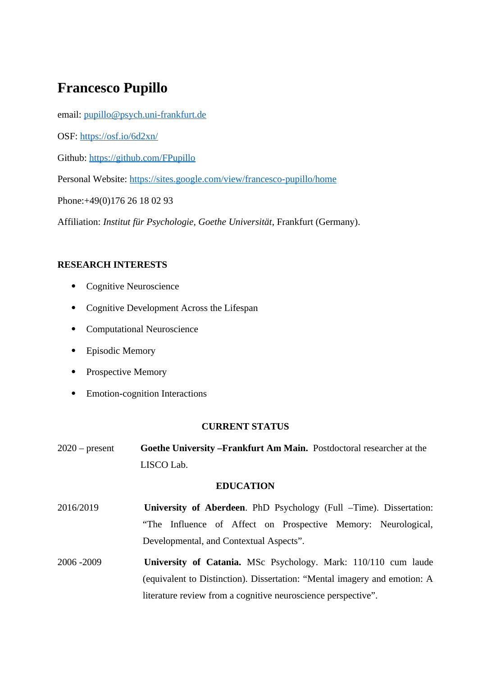# **Francesco Pupillo**

email: [pupillo@psych.uni-frankfurt.de](mailto:pupillo@psych.uni-frankfurt.de)

OSF: <https://osf.io/6d2xn/>

Github: https://github.com/FPupillo

Personal Website:<https://sites.google.com/view/francesco-pupillo/home>

Phone:+49(0)176 26 18 02 93

Affiliation: *Institut für Psychologie, Goethe Universität*, Frankfurt (Germany).

# **RESEARCH INTERESTS**

- Cognitive Neuroscience
- Cognitive Development Across the Lifespan
- Computational Neuroscience
- Episodic Memory
- Prospective Memory
- Emotion-cognition Interactions

## **CURRENT STATUS**

2020 – present **Goethe University –Frankfurt Am Main.** Postdoctoral researcher at the LISCO Lab.

## **EDUCATION**

- 2016/2019 **University of Aberdeen**. PhD Psychology (Full –Time). Dissertation: "The Influence of Affect on Prospective Memory: Neurological, Developmental, and Contextual Aspects".
- 2006 -2009 **University of Catania.** MSc Psychology. Mark: 110/110 cum laude (equivalent to Distinction). Dissertation: "Mental imagery and emotion: A literature review from a cognitive neuroscience perspective".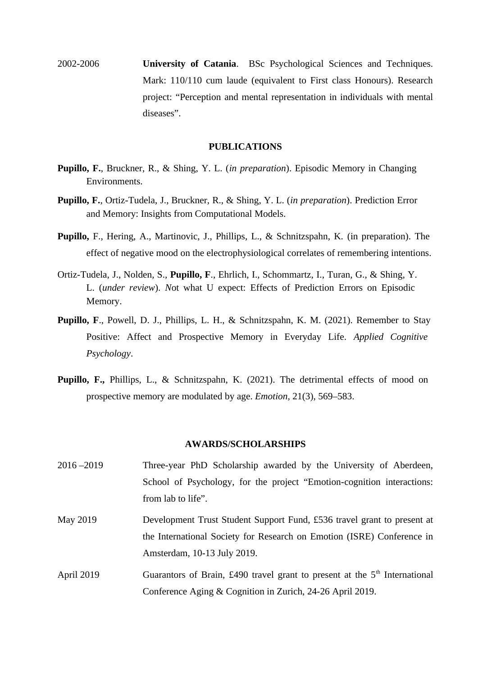2002-2006 **University of Catania**. BSc Psychological Sciences and Techniques. Mark: 110/110 cum laude (equivalent to First class Honours). Research project: "Perception and mental representation in individuals with mental diseases".

#### **PUBLICATIONS**

- **Pupillo, F.**, Bruckner, R., & Shing, Y. L. (*in preparation*). Episodic Memory in Changing Environments.
- **Pupillo, F.**, Ortiz-Tudela, J., Bruckner, R., & Shing, Y. L. (*in preparation*). Prediction Error and Memory: Insights from Computational Models.
- **Pupillo,** F., Hering, A., Martinovic, J., Phillips, L., & Schnitzspahn, K. (in preparation). The effect of negative mood on the electrophysiological correlates of remembering intentions.
- Ortiz-Tudela, J., Nolden, S., **Pupillo, F**., Ehrlich, I., Schommartz, I., Turan, G., & Shing, Y. L. (*under review*). *N*ot what U expect: Effects of Prediction Errors on Episodic Memory.
- **Pupillo, F**., Powell, D. J., Phillips, L. H., & Schnitzspahn, K. M. (2021). Remember to Stay Positive: Affect and Prospective Memory in Everyday Life. *Applied Cognitive Psychology*.
- **Pupillo, F.,** Phillips, L., & Schnitzspahn, K. (2021). The detrimental effects of mood on prospective memory are modulated by age. *Emotion*, 21(3), 569–583.

#### **AWARDS/SCHOLARSHIPS**

- 2016 –2019 Three-year PhD Scholarship awarded by the University of Aberdeen, School of Psychology, for the project "Emotion-cognition interactions: from lab to life". May 2019 Development Trust Student Support Fund, £536 travel grant to present at
- the International Society for Research on Emotion (ISRE) Conference in Amsterdam, 10-13 July 2019.
- April 2019 Guarantors of Brain, £490 travel grant to present at the  $5<sup>th</sup>$  International Conference Aging & Cognition in Zurich, 24-26 April 2019.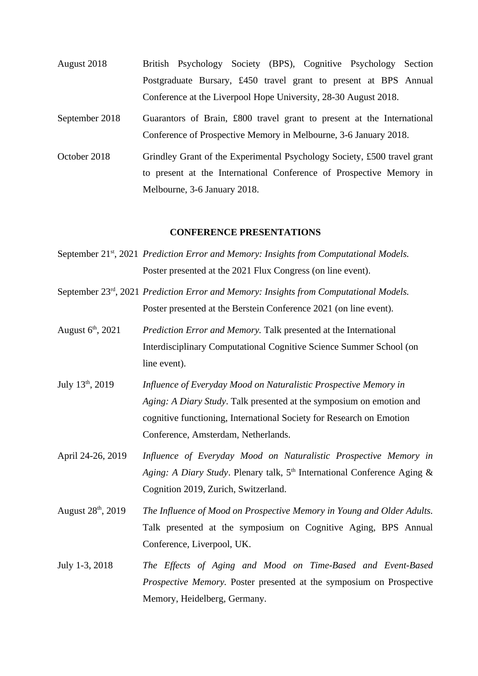- August 2018 British Psychology Society (BPS), Cognitive Psychology Section Postgraduate Bursary, £450 travel grant to present at BPS Annual Conference at the Liverpool Hope University, 28-30 August 2018.
- September 2018 Guarantors of Brain, £800 travel grant to present at the International Conference of Prospective Memory in Melbourne, 3-6 January 2018.
- October 2018 Grindley Grant of the Experimental Psychology Society, £500 travel grant to present at the International Conference of Prospective Memory in Melbourne, 3-6 January 2018.

#### **CONFERENCE PRESENTATIONS**

- September 21<sup>st</sup>, 2021 *Prediction Error and Memory: Insights from Computational Models.* Poster presented at the 2021 Flux Congress (on line event).
- September 23rd, 2021 *Prediction Error and Memory: Insights from Computational Models.*  Poster presented at the Berstein Conference 2021 (on line event).
- August 6th, 2021 *Prediction Error and Memory.* Talk presented at the International Interdisciplinary Computational Cognitive Science Summer School (on line event).
- July 13th, 2019 *Influence of Everyday Mood on Naturalistic Prospective Memory in Aging: A Diary Study*. Talk presented at the symposium on emotion and cognitive functioning, International Society for Research on Emotion Conference, Amsterdam, Netherlands.
- April 24-26, 2019 *Influence of Everyday Mood on Naturalistic Prospective Memory in Aging: A Diary Study. Plenary talk,* 5<sup>th</sup> International Conference Aging & Cognition 2019, Zurich, Switzerland.
- August 28<sup>th</sup>, 2019 *The Influence of Mood on Prospective Memory in Young and Older Adults.* Talk presented at the symposium on Cognitive Aging, BPS Annual Conference, Liverpool, UK.
- July 1-3, 2018 *The Effects of Aging and Mood on Time-Based and Event-Based Prospective Memory.* Poster presented at the symposium on Prospective Memory, Heidelberg, Germany.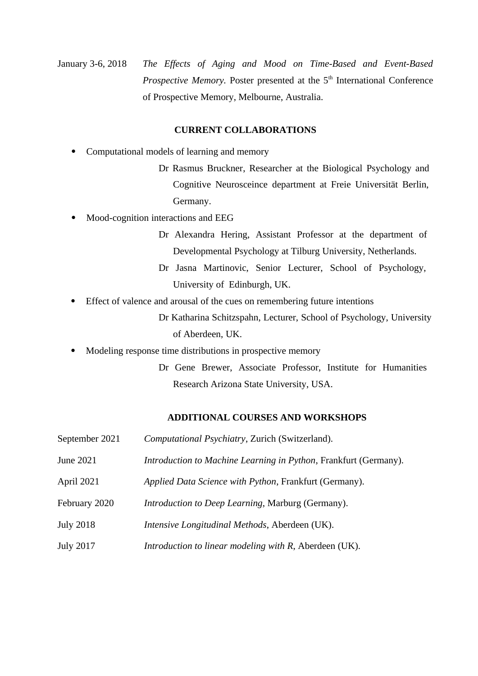January 3-6, 2018 *The Effects of Aging and Mood on Time-Based and Event-Based Prospective Memory.* Poster presented at the 5<sup>th</sup> International Conference of Prospective Memory, Melbourne, Australia.

#### **CURRENT COLLABORATIONS**

- Computational models of learning and memory
	- Dr Rasmus Bruckner, Researcher at the Biological Psychology and Cognitive Neurosceince department at Freie Universität Berlin, Germany.
- Mood-cognition interactions and EEG
	- Dr Alexandra Hering, Assistant Professor at the department of Developmental Psychology at Tilburg University, Netherlands.
	- Dr Jasna Martinovic, Senior Lecturer, School of Psychology, University of Edinburgh, UK.
- Effect of valence and arousal of the cues on remembering future intentions
	- Dr Katharina Schitzspahn, Lecturer, School of Psychology, University of Aberdeen, UK.
- Modeling response time distributions in prospective memory
	- Dr Gene Brewer, Associate Professor, Institute for Humanities Research Arizona State University, USA.

## **ADDITIONAL COURSES AND WORKSHOPS**

- September 2021 *Computational Psychiatry*, Zurich (Switzerland).
- June 2021 *Introduction to Machine Learning in Python*, Frankfurt (Germany).
- April 2021 *Applied Data Science with Python*, Frankfurt (Germany).
- February 2020 *Introduction to Deep Learning*, Marburg (Germany).
- July 2018 *Intensive Longitudinal Methods*, Aberdeen (UK).
- July 2017 *Introduction to linear modeling with R*, Aberdeen (UK).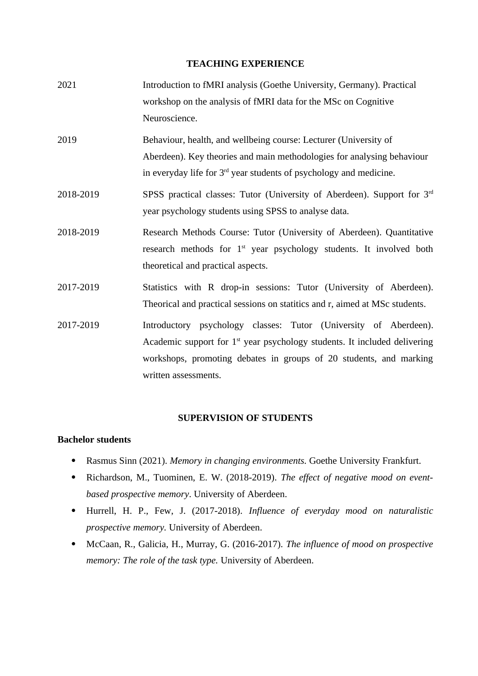#### **TEACHING EXPERIENCE**

- 2021 Introduction to fMRI analysis (Goethe University, Germany). Practical workshop on the analysis of fMRI data for the MSc on Cognitive Neuroscience.
- 2019 Behaviour, health, and wellbeing course: Lecturer (University of Aberdeen). Key theories and main methodologies for analysing behaviour in everyday life for  $3<sup>rd</sup>$  year students of psychology and medicine.
- 2018-2019 SPSS practical classes: Tutor (University of Aberdeen). Support for 3<sup>rd</sup> year psychology students using SPSS to analyse data.
- 2018-2019 Research Methods Course: Tutor (University of Aberdeen). Quantitative research methods for 1<sup>st</sup> year psychology students. It involved both theoretical and practical aspects.
- 2017-2019 Statistics with R drop-in sessions: Tutor (University of Aberdeen). Theorical and practical sessions on statitics and r, aimed at MSc students.
- 2017-2019 Introductory psychology classes: Tutor (University of Aberdeen). Academic support for  $1<sup>st</sup>$  year psychology students. It included delivering workshops, promoting debates in groups of 20 students, and marking written assessments.

## **SUPERVISION OF STUDENTS**

# **Bachelor students**

- Rasmus Sinn (2021). *Memory in changing environments.* Goethe University Frankfurt.
- Richardson, M., Tuominen, E. W. (2018-2019). *The effect of negative mood on eventbased prospective memory*. University of Aberdeen.
- Hurrell, H. P., Few, J. (2017-2018). *Influence of everyday mood on naturalistic prospective memory.* University of Aberdeen.
- McCaan, R., Galicia, H., Murray, G. (2016-2017). *The influence of mood on prospective memory: The role of the task type.* University of Aberdeen.